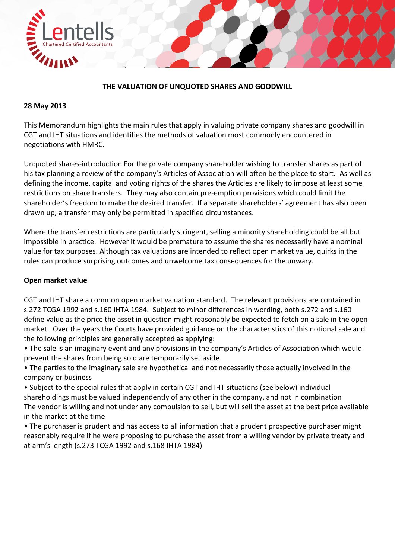

# **THE VALUATION OF UNQUOTED SHARES AND GOODWILL**

#### **28 May 2013**

This Memorandum highlights the main rules that apply in valuing private company shares and goodwill in CGT and IHT situations and identifies the methods of valuation most commonly encountered in negotiations with HMRC.

Unquoted shares‐introduction For the private company shareholder wishing to transfer shares as part of his tax planning a review of the company's Articles of Association will often be the place to start. As well as defining the income, capital and voting rights of the shares the Articles are likely to impose at least some restrictions on share transfers. They may also contain pre‐emption provisions which could limit the shareholder's freedom to make the desired transfer. If a separate shareholders' agreement has also been drawn up, a transfer may only be permitted in specified circumstances.

Where the transfer restrictions are particularly stringent, selling a minority shareholding could be all but impossible in practice. However it would be premature to assume the shares necessarily have a nominal value for tax purposes. Although tax valuations are intended to reflect open market value, quirks in the rules can produce surprising outcomes and unwelcome tax consequences for the unwary.

#### **Open market value**

CGT and IHT share a common open market valuation standard. The relevant provisions are contained in s.272 TCGA 1992 and s.160 IHTA 1984. Subject to minor differences in wording, both s.272 and s.160 define value as the price the asset in question might reasonably be expected to fetch on a sale in the open market. Over the years the Courts have provided guidance on the characteristics of this notional sale and the following principles are generally accepted as applying:

- The sale is an imaginary event and any provisions in the company's Articles of Association which would prevent the shares from being sold are temporarily set aside
- The parties to the imaginary sale are hypothetical and not necessarily those actually involved in the company or business
- Subject to the special rules that apply in certain CGT and IHT situations (see below) individual shareholdings must be valued independently of any other in the company, and not in combination The vendor is willing and not under any compulsion to sell, but will sell the asset at the best price available in the market at the time
- The purchaser is prudent and has access to all information that a prudent prospective purchaser might reasonably require if he were proposing to purchase the asset from a willing vendor by private treaty and at arm's length (s.273 TCGA 1992 and s.168 IHTA 1984)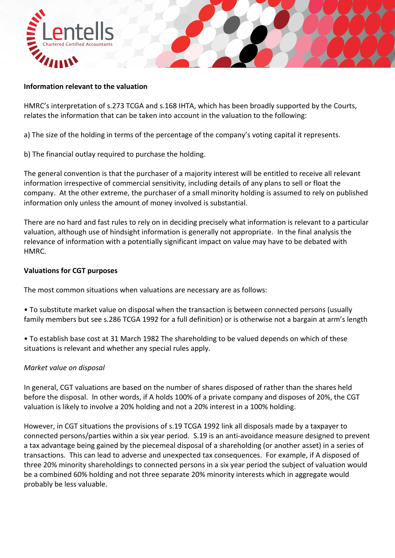

### **Information relevant to the valuation**

HMRC's interpretation of s.273 TCGA and s.168 IHTA, which has been broadly supported by the Courts, relates the information that can be taken into account in the valuation to the following:

a) The size of the holding in terms of the percentage of the company's voting capital it represents.

b) The financial outlay required to purchase the holding.

The general convention is that the purchaser of a majority interest will be entitled to receive all relevant information irrespective of commercial sensitivity, including details of any plans to sell or float the company. At the other extreme, the purchaser of a small minority holding is assumed to rely on published information only unless the amount of money involved is substantial.

There are no hard and fast rules to rely on in deciding precisely what information is relevant to a particular valuation, although use of hindsight information is generally not appropriate. In the final analysis the relevance of information with a potentially significant impact on value may have to be debated with HMRC.

# **Valuations for CGT purposes**

The most common situations when valuations are necessary are as follows:

• To substitute market value on disposal when the transaction is between connected persons (usually family members but see s.286 TCGA 1992 for a full definition) or is otherwise not a bargain at arm's length

• To establish base cost at 31 March 1982 The shareholding to be valued depends on which of these situations is relevant and whether any special rules apply.

# *Market value on disposal*

In general, CGT valuations are based on the number of shares disposed of rather than the shares held before the disposal. In other words, if A holds 100% of a private company and disposes of 20%, the CGT valuation is likely to involve a 20% holding and not a 20% interest in a 100% holding.

However, in CGT situations the provisions of s.19 TCGA 1992 link all disposals made by a taxpayer to connected persons/parties within a six year period. S.19 is an anti‐avoidance measure designed to prevent a tax advantage being gained by the piecemeal disposal of a shareholding (or another asset) in a series of transactions. This can lead to adverse and unexpected tax consequences. For example, if A disposed of three 20% minority shareholdings to connected persons in a six year period the subject of valuation would be a combined 60% holding and not three separate 20% minority interests which in aggregate would probably be less valuable.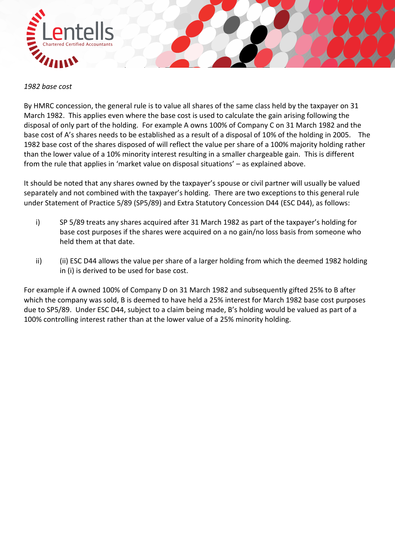

#### *1982 base cost*

By HMRC concession, the general rule is to value all shares of the same class held by the taxpayer on 31 March 1982. This applies even where the base cost is used to calculate the gain arising following the disposal of only part of the holding. For example A owns 100% of Company C on 31 March 1982 and the base cost of A's shares needs to be established as a result of a disposal of 10% of the holding in 2005. The 1982 base cost of the shares disposed of will reflect the value per share of a 100% majority holding rather than the lower value of a 10% minority interest resulting in a smaller chargeable gain. This is different from the rule that applies in 'market value on disposal situations' – as explained above.

It should be noted that any shares owned by the taxpayer's spouse or civil partner will usually be valued separately and not combined with the taxpayer's holding. There are two exceptions to this general rule under Statement of Practice 5/89 (SP5/89) and Extra Statutory Concession D44 (ESC D44), as follows:

- i) SP 5/89 treats any shares acquired after 31 March 1982 as part of the taxpayer's holding for base cost purposes if the shares were acquired on a no gain/no loss basis from someone who held them at that date.
- ii) (ii) ESC D44 allows the value per share of a larger holding from which the deemed 1982 holding in (i) is derived to be used for base cost.

For example if A owned 100% of Company D on 31 March 1982 and subsequently gifted 25% to B after which the company was sold, B is deemed to have held a 25% interest for March 1982 base cost purposes due to SP5/89. Under ESC D44, subject to a claim being made, B's holding would be valued as part of a 100% controlling interest rather than at the lower value of a 25% minority holding.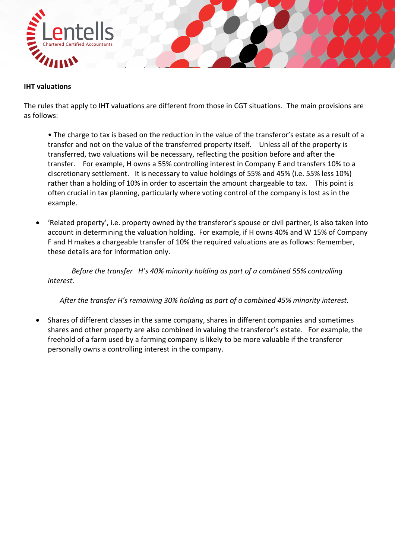

#### **IHT valuations**

The rules that apply to IHT valuations are different from those in CGT situations. The main provisions are as follows:

• The charge to tax is based on the reduction in the value of the transferor's estate as a result of a transfer and not on the value of the transferred property itself. Unless all of the property is transferred, two valuations will be necessary, reflecting the position before and after the transfer. For example, H owns a 55% controlling interest in Company E and transfers 10% to a discretionary settlement. It is necessary to value holdings of 55% and 45% (i.e. 55% less 10%) rather than a holding of 10% in order to ascertain the amount chargeable to tax. This point is often crucial in tax planning, particularly where voting control of the company is lost as in the example.

 'Related property', i.e. property owned by the transferor's spouse or civil partner, is also taken into account in determining the valuation holding. For example, if H owns 40% and W 15% of Company F and H makes a chargeable transfer of 10% the required valuations are as follows: Remember, these details are for information only.

*Before the transfer H's 40% minority holding as part of a combined 55% controlling interest.* 

*After the transfer H's remaining 30% holding as part of a combined 45% minority interest.* 

 Shares of different classes in the same company, shares in different companies and sometimes shares and other property are also combined in valuing the transferor's estate. For example, the freehold of a farm used by a farming company is likely to be more valuable if the transferor personally owns a controlling interest in the company.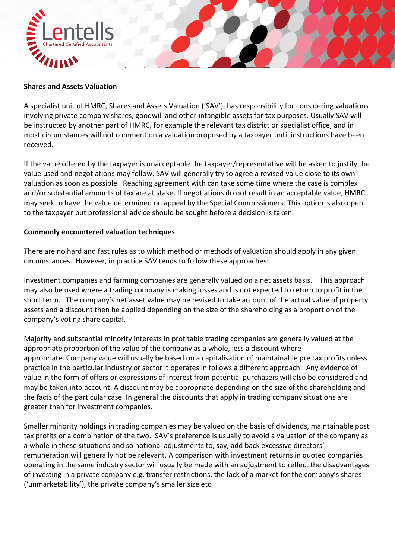

#### **Shares and Assets Valuation**

A specialist unit of HMRC, Shares and Assets Valuation ('SAV'), has responsibility for considering valuations involving private company shares, goodwill and other intangible assets for tax purposes. Usually SAV will be instructed by another part of HMRC, for example the relevant tax district or specialist office, and in most circumstances will not comment on a valuation proposed by a taxpayer until instructions have been received.

If the value offered by the taxpayer is unacceptable the taxpayer/representative will be asked to justify the value used and negotiations may follow. SAV will generally try to agree a revised value close to its own valuation as soon as possible. Reaching agreement with can take some time where the case is complex and/or substantial amounts of tax are at stake. If negotiations do not result in an acceptable value, HMRC may seek to have the value determined on appeal by the Special Commissioners. This option is also open to the taxpayer but professional advice should be sought before a decision is taken.

#### **Commonly encountered valuation techniques**

There are no hard and fast rules as to which method or methods of valuation should apply in any given circumstances. However, in practice SAV tends to follow these approaches:

Investment companies and farming companies are generally valued on a net assets basis. This approach may also be used where a trading company is making losses and is not expected to return to profit in the short term. The company's net asset value may be revised to take account of the actual value of property assets and a discount then be applied depending on the size of the shareholding as a proportion of the company's voting share capital.

Majority and substantial minority interests in profitable trading companies are generally valued at the appropriate proportion of the value of the company as a whole, less a discount where appropriate. Company value will usually be based on a capitalisation of maintainable pre tax profits unless practice in the particular industry or sector it operates in follows a different approach. Any evidence of value in the form of offers or expressions of interest from potential purchasers will also be considered and may be taken into account. A discount may be appropriate depending on the size of the shareholding and the facts of the particular case. In general the discounts that apply in trading company situations are greater than for investment companies.

Smaller minority holdings in trading companies may be valued on the basis of dividends, maintainable post tax profits or a combination of the two. SAV's preference is usually to avoid a valuation of the company as a whole in these situations and so notional adjustments to, say, add back excessive directors' remuneration will generally not be relevant. A comparison with investment returns in quoted companies operating in the same industry sector will usually be made with an adjustment to reflect the disadvantages of investing in a private company e.g. transfer restrictions, the lack of a market for the company's shares ('unmarketability'), the private company's smaller size etc.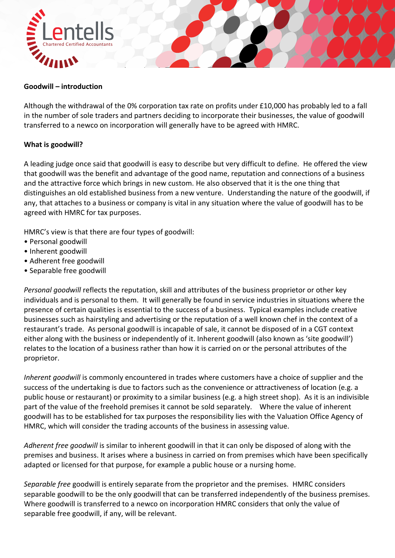

### **Goodwill – introduction**

Although the withdrawal of the 0% corporation tax rate on profits under £10,000 has probably led to a fall in the number of sole traders and partners deciding to incorporate their businesses, the value of goodwill transferred to a newco on incorporation will generally have to be agreed with HMRC.

### **What is goodwill?**

A leading judge once said that goodwill is easy to describe but very difficult to define. He offered the view that goodwill was the benefit and advantage of the good name, reputation and connections of a business and the attractive force which brings in new custom. He also observed that it is the one thing that distinguishes an old established business from a new venture. Understanding the nature of the goodwill, if any, that attaches to a business or company is vital in any situation where the value of goodwill has to be agreed with HMRC for tax purposes.

HMRC's view is that there are four types of goodwill:

- Personal goodwill
- Inherent goodwill
- Adherent free goodwill
- Separable free goodwill

*Personal goodwill* reflects the reputation, skill and attributes of the business proprietor or other key individuals and is personal to them. It will generally be found in service industries in situations where the presence of certain qualities is essential to the success of a business. Typical examples include creative businesses such as hairstyling and advertising or the reputation of a well known chef in the context of a restaurant's trade. As personal goodwill is incapable of sale, it cannot be disposed of in a CGT context either along with the business or independently of it. Inherent goodwill (also known as 'site goodwill') relates to the location of a business rather than how it is carried on or the personal attributes of the proprietor.

*Inherent goodwill* is commonly encountered in trades where customers have a choice of supplier and the success of the undertaking is due to factors such as the convenience or attractiveness of location (e.g. a public house or restaurant) or proximity to a similar business (e.g. a high street shop). As it is an indivisible part of the value of the freehold premises it cannot be sold separately. Where the value of inherent goodwill has to be established for tax purposes the responsibility lies with the Valuation Office Agency of HMRC, which will consider the trading accounts of the business in assessing value.

*Adherent free goodwill* is similar to inherent goodwill in that it can only be disposed of along with the premises and business. It arises where a business in carried on from premises which have been specifically adapted or licensed for that purpose, for example a public house or a nursing home.

*Separable free* goodwill is entirely separate from the proprietor and the premises. HMRC considers separable goodwill to be the only goodwill that can be transferred independently of the business premises. Where goodwill is transferred to a newco on incorporation HMRC considers that only the value of separable free goodwill, if any, will be relevant.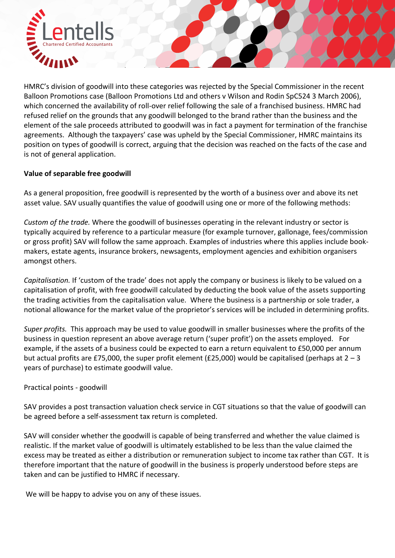

HMRC's division of goodwill into these categories was rejected by the Special Commissioner in the recent Balloon Promotions case (Balloon Promotions Ltd and others v Wilson and Rodin SpC524 3 March 2006), which concerned the availability of roll-over relief following the sale of a franchised business. HMRC had refused relief on the grounds that any goodwill belonged to the brand rather than the business and the element of the sale proceeds attributed to goodwill was in fact a payment for termination of the franchise agreements. Although the taxpayers' case was upheld by the Special Commissioner, HMRC maintains its position on types of goodwill is correct, arguing that the decision was reached on the facts of the case and is not of general application.

# **Value of separable free goodwill**

As a general proposition, free goodwill is represented by the worth of a business over and above its net asset value. SAV usually quantifies the value of goodwill using one or more of the following methods:

*Custom of the trade.* Where the goodwill of businesses operating in the relevant industry or sector is typically acquired by reference to a particular measure (for example turnover, gallonage, fees/commission or gross profit) SAV will follow the same approach. Examples of industries where this applies include book‐ makers, estate agents, insurance brokers, newsagents, employment agencies and exhibition organisers amongst others.

*Capitalisation.* If 'custom of the trade' does not apply the company or business is likely to be valued on a capitalisation of profit, with free goodwill calculated by deducting the book value of the assets supporting the trading activities from the capitalisation value. Where the business is a partnership or sole trader, a notional allowance for the market value of the proprietor's services will be included in determining profits.

*Super profits.* This approach may be used to value goodwill in smaller businesses where the profits of the business in question represent an above average return ('super profit') on the assets employed. For example, if the assets of a business could be expected to earn a return equivalent to £50,000 per annum but actual profits are £75,000, the super profit element (£25,000) would be capitalised (perhaps at  $2 - 3$ years of purchase) to estimate goodwill value.

# Practical points ‐ goodwill

SAV provides a post transaction valuation check service in CGT situations so that the value of goodwill can be agreed before a self‐assessment tax return is completed.

SAV will consider whether the goodwill is capable of being transferred and whether the value claimed is realistic. If the market value of goodwill is ultimately established to be less than the value claimed the excess may be treated as either a distribution or remuneration subject to income tax rather than CGT. It is therefore important that the nature of goodwill in the business is properly understood before steps are taken and can be justified to HMRC if necessary.

We will be happy to advise you on any of these issues.